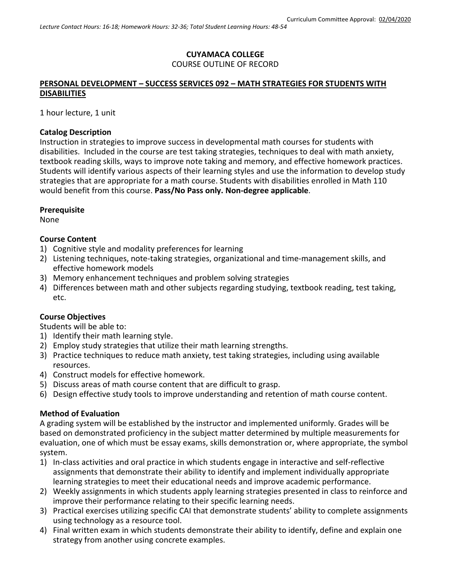## **CUYAMACA COLLEGE** COURSE OUTLINE OF RECORD

#### **PERSONAL DEVELOPMENT – SUCCESS SERVICES 092 – MATH STRATEGIES FOR STUDENTS WITH DISABILITIES**

1 hour lecture, 1 unit

#### **Catalog Description**

Instruction in strategies to improve success in developmental math courses for students with disabilities. Included in the course are test taking strategies, techniques to deal with math anxiety, textbook reading skills, ways to improve note taking and memory, and effective homework practices. Students will identify various aspects of their learning styles and use the information to develop study strategies that are appropriate for a math course. Students with disabilities enrolled in Math 110 would benefit from this course. **Pass/No Pass only. Non-degree applicable**.

#### **Prerequisite**

None

#### **Course Content**

- 1) Cognitive style and modality preferences for learning
- 2) Listening techniques, note-taking strategies, organizational and time-management skills, and effective homework models
- 3) Memory enhancement techniques and problem solving strategies
- 4) Differences between math and other subjects regarding studying, textbook reading, test taking, etc.

#### **Course Objectives**

Students will be able to:

- 1) Identify their math learning style.
- 2) Employ study strategies that utilize their math learning strengths.
- 3) Practice techniques to reduce math anxiety, test taking strategies, including using available resources.
- 4) Construct models for effective homework.
- 5) Discuss areas of math course content that are difficult to grasp.
- 6) Design effective study tools to improve understanding and retention of math course content.

#### **Method of Evaluation**

A grading system will be established by the instructor and implemented uniformly. Grades will be based on demonstrated proficiency in the subject matter determined by multiple measurements for evaluation, one of which must be essay exams, skills demonstration or, where appropriate, the symbol system.

- 1) In-class activities and oral practice in which students engage in interactive and self-reflective assignments that demonstrate their ability to identify and implement individually appropriate learning strategies to meet their educational needs and improve academic performance.
- 2) Weekly assignments in which students apply learning strategies presented in class to reinforce and improve their performance relating to their specific learning needs.
- 3) Practical exercises utilizing specific CAI that demonstrate students' ability to complete assignments using technology as a resource tool.
- 4) Final written exam in which students demonstrate their ability to identify, define and explain one strategy from another using concrete examples.